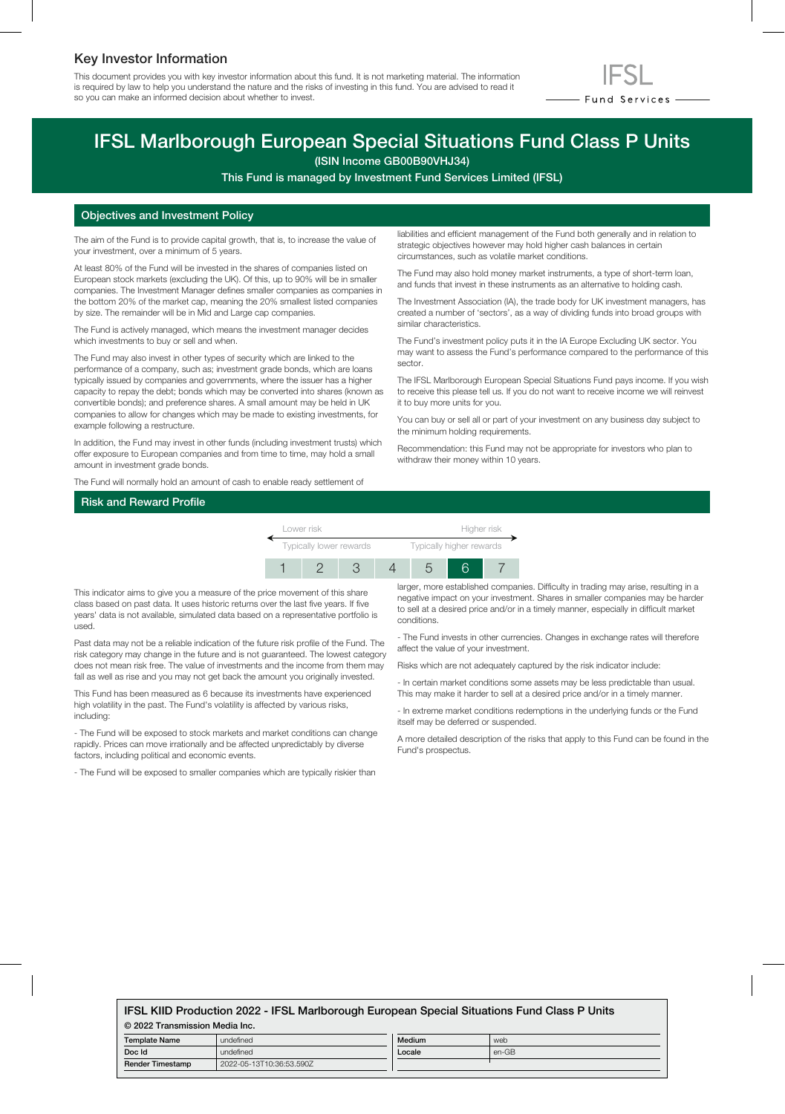# Key Investor Information

This document provides you with key investor information about this fund. It is not marketing material. The information is required by law to help you understand the nature and the risks of investing in this fund. You are advised to read it so you can make an informed decision about whether to invest.



# IFSL Marlborough European Special Situations Fund Class P Units

(ISIN Income GB00B90VHJ34)

This Fund is managed by Investment Fund Services Limited (IFSL)

## Objectives and Investment Policy

The aim of the Fund is to provide capital growth, that is, to increase the value of your investment, over a minimum of 5 years.

At least 80% of the Fund will be invested in the shares of companies listed on European stock markets (excluding the UK). Of this, up to 90% will be in smaller companies. The Investment Manager defines smaller companies as companies in the bottom 20% of the market cap, meaning the 20% smallest listed companies by size. The remainder will be in Mid and Large cap companies.

The Fund is actively managed, which means the investment manager decides which investments to buy or sell and when.

The Fund may also invest in other types of security which are linked to the performance of a company, such as; investment grade bonds, which are loans typically issued by companies and governments, where the issuer has a higher capacity to repay the debt; bonds which may be converted into shares (known as convertible bonds); and preference shares. A small amount may be held in UK companies to allow for changes which may be made to existing investments, for example following a restructure.

In addition, the Fund may invest in other funds (including investment trusts) which offer exposure to European companies and from time to time, may hold a small amount in investment grade bonds.

The Fund will normally hold an amount of cash to enable ready settlement of

liabilities and efficient management of the Fund both generally and in relation to strategic objectives however may hold higher cash balances in certain circumstances, such as volatile market conditions.

The Fund may also hold money market instruments, a type of short-term loan, and funds that invest in these instruments as an alternative to holding cash.

The Investment Association (IA), the trade body for UK investment managers, has created a number of 'sectors', as a way of dividing funds into broad groups with similar characteristics.

The Fund's investment policy puts it in the IA Europe Excluding UK sector. You may want to assess the Fund's performance compared to the performance of this sector.

The IFSL Marlborough European Special Situations Fund pays income. If you wish to receive this please tell us. If you do not want to receive income we will reinvest it to buy more units for you.

You can buy or sell all or part of your investment on any business day subject to the minimum holding requirements.

Recommendation: this Fund may not be appropriate for investors who plan to withdraw their money within 10 years.

# Risk and Reward Profile



This indicator aims to give you a measure of the price movement of this share class based on past data. It uses historic returns over the last five years. If five years' data is not available, simulated data based on a representative portfolio is used.

Past data may not be a reliable indication of the future risk profile of the Fund. The risk category may change in the future and is not guaranteed. The lowest category does not mean risk free. The value of investments and the income from them may fall as well as rise and you may not get back the amount you originally invested.

This Fund has been measured as 6 because its investments have experienced high volatility in the past. The Fund's volatility is affected by various risks, including:

- The Fund will be exposed to stock markets and market conditions can change rapidly. Prices can move irrationally and be affected unpredictably by diverse factors, including political and economic events.

- The Fund will be exposed to smaller companies which are typically riskier than

larger, more established companies. Difficulty in trading may arise, resulting in a negative impact on your investment. Shares in smaller companies may be harder to sell at a desired price and/or in a timely manner, especially in difficult market conditions.

- The Fund invests in other currencies. Changes in exchange rates will therefore affect the value of your investment.

Risks which are not adequately captured by the risk indicator include:

- In certain market conditions some assets may be less predictable than usual. This may make it harder to sell at a desired price and/or in a timely manner.

- In extreme market conditions redemptions in the underlying funds or the Fund itself may be deferred or suspended.

A more detailed description of the risks that apply to this Fund can be found in the Fund's prospectus.